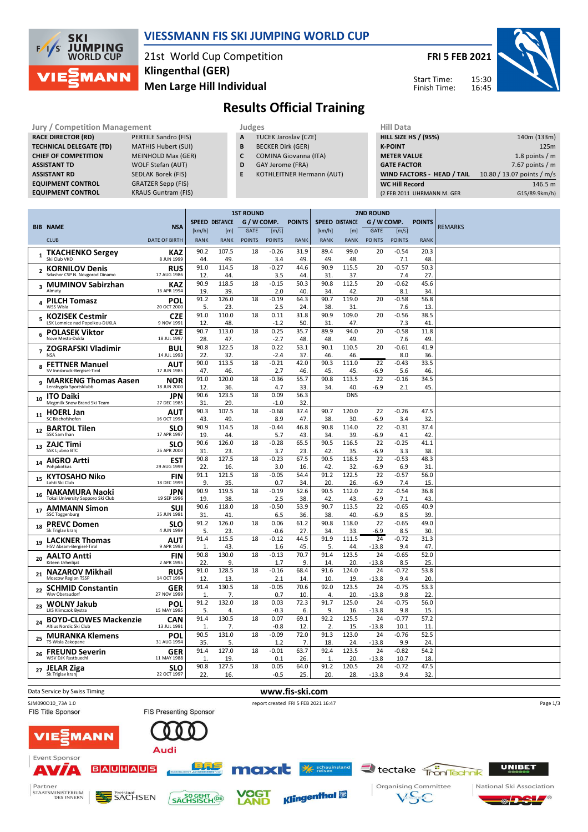

### **VIESSMANN FIS SKI JUMPING WORLD CUP**

21st World Cup Competition **Men Large Hill Individual Klingenthal (GER)**

**FRI 5 FEB 2021** 15:30 Start Time:

Finish Time:

16:45



®

Ŀ

## **Results Official Training**

| <b>Jury / Competition Management</b> |                            | Judges | <b>Hill Data</b> |                                  |  |                    |
|--------------------------------------|----------------------------|--------|------------------|----------------------------------|--|--------------------|
| <b>RACE DIRECTOR (RD)</b>            | PERTILE Sandro (FIS)       |        | A                | <b>TUCEK Jaroslav (CZE)</b>      |  | <b>HILL SIZE I</b> |
| <b>TECHNICAL DELEGATE (TD)</b>       | <b>MATHIS Hubert (SUI)</b> |        | B                | <b>BECKER Dirk (GER)</b>         |  | <b>K-POINT</b>     |
| <b>CHIEF OF COMPETITION</b>          | <b>MEINHOLD Max (GER)</b>  |        | C                | <b>COMINA Giovanna (ITA)</b>     |  | <b>METER VA</b>    |
| <b>ASSISTANT TD</b>                  | <b>WOLF Stefan (AUT)</b>   |        | D                | GAY Jerome (FRA)                 |  | <b>GATE FACT</b>   |
| <b>ASSISTANT RD</b>                  | <b>SEDLAK Borek (FIS)</b>  |        | E                | <b>KOTHLEITNER Hermann (AUT)</b> |  | <b>WIND FAC</b>    |
| <b>EQUIPMENT CONTROL</b>             | <b>GRATZER Sepp (FIS)</b>  |        |                  |                                  |  | <b>WC Hill Re</b>  |
| <b>EQUIPMENT CONTROL</b>             | <b>KRAUS Guntram (FIS)</b> |        |                  |                                  |  | (2 FEB 2011        |

- **A** TUCEK Jaroslav (CZE)
- **B** BECKER Dirk (GER)
- **C** COMINA Giovanna (ITA) **D** GAY Jerome (FRA)
	-
	- **E** KOTHLEITNER Hermann (AUT)

| nii vald                    |                            |
|-----------------------------|----------------------------|
| <b>HILL SIZE HS / (95%)</b> | 140m (133m)                |
| <b>K-POINT</b>              | 125m                       |
| <b>METER VALUE</b>          | 1.8 points $/m$            |
| <b>GATE FACTOR</b>          | 7.67 points $/m$           |
| WIND FACTORS - HEAD / TAIL  | 10.80 / 13.07 points / m/s |
| <b>WC Hill Record</b>       | 146.5 m                    |
| (2 FEB 2011 UHRMANN M. GER  | G15/89.9km/h)              |
|                             |                            |

|                         |                                                          |                           | <b>1ST ROUND</b>     |                       |               |                |               | <b>2ND ROUND</b>      |              |                 |                 |               |                |
|-------------------------|----------------------------------------------------------|---------------------------|----------------------|-----------------------|---------------|----------------|---------------|-----------------------|--------------|-----------------|-----------------|---------------|----------------|
|                         |                                                          |                           |                      | <b>SPEED DISTANCE</b> | G / W COMP.   |                | <b>POINTS</b> | <b>SPEED DISTANCE</b> |              | G / W COMP.     |                 | <b>POINTS</b> |                |
|                         | <b>BIB NAME</b>                                          | <b>NSA</b>                | [km/h]               | [m]                   | <b>GATE</b>   | [m/s]          |               | [km/h]                | [m]          | <b>GATE</b>     | [m/s]           |               | <b>REMARKS</b> |
|                         | <b>CLUB</b>                                              | <b>DATE OF BIRTH</b>      | <b>RANK</b>          | <b>RANK</b>           | <b>POINTS</b> | <b>POINTS</b>  | <b>RANK</b>   | <b>RANK</b>           | <b>RANK</b>  | <b>POINTS</b>   | <b>POINTS</b>   | <b>RANK</b>   |                |
| $\mathbf{1}$            | <b>TKACHENKO Sergey</b><br>Ski Club VKO                  | KAZ<br>8 JUN 1999         | 90.2<br>44.          | 107.5<br>49.          | 18            | $-0.26$<br>3.4 | 31.9<br>49.   | 89.4<br>49.           | 99.0<br>48.  | 20              | $-0.54$<br>7.1  | 20.3<br>48    |                |
|                         |                                                          |                           | 91.0                 | 114.5                 | 18            | $-0.27$        | 44.6          | 90.9                  | 115.5        | 20              | $-0.57$         | 50.3          |                |
|                         | <b>KORNILOV Denis</b><br>Sdushor CSP N. Novgorod Dinamo  | <b>RUS</b><br>17 AUG 1986 | 12                   | 44                    |               | 3.5            | 44.           | 31                    | 37.          |                 | 7.4             | 27            |                |
|                         |                                                          |                           | 90.9                 | 118.5                 | 18            | $-0.15$        | 50.3          | 90.8                  | 112.5        | 20              | $-0.62$         | 45.6          |                |
| $\overline{\mathbf{3}}$ | <b>MUMINOV Sabirzhan</b><br>Almaty                       | KAZ<br>16 APR 1994        | 19.                  | 39.                   |               | 2.0            | 40.           | 34.                   | 42.          |                 | 8.1             | 34            |                |
| 4                       | <b>PILCH Tomasz</b><br>WSS Wisla                         | POL<br>20 OCT 2000        | 91.2<br>5.           | 126.0<br>23.          | 18            | $-0.19$<br>2.5 | 64.3<br>24.   | 90.7<br>38.           | 119.0<br>31. | 20              | $-0.58$<br>7.6  | 56.8<br>13    |                |
| 5                       | <b>KOZISEK Cestmir</b><br>LSK Lomnice nad Popelkou-DUKLA | <b>CZE</b><br>9 NOV 1991  | 91.0<br>12.          | 110.0<br>48.          | 18            | 0.11<br>$-1.2$ | 31.8<br>50.   | 90.9<br>31.           | 109.0<br>47. | 20              | $-0.56$<br>7.3  | 38.5<br>41    |                |
| 6                       | <b>POLASEK Viktor</b><br>Nove Mesto-Dukla                | <b>CZE</b>                | 90.7                 | 113.0                 | 18            | 0.25           | 35.7          | 89.9                  | 94.0         | 20              | $-0.58$         | 11.8          |                |
|                         |                                                          | 18 JUL 1997               | 28.                  | 47.                   |               | $-2.7$         | 48.           | 48.                   | 49           |                 | 7.6             | 49            |                |
|                         | <b>ZOGRAFSKI Vladimir</b><br><b>NSA</b>                  | <b>BUL</b><br>14 JUL 1993 | 90.8<br>22.          | 122.5<br>32.          | 18            | 0.22<br>$-2.4$ | 53.1<br>37.   | 90.1<br>46.           | 110.5<br>46. | 20              | $-0.61$<br>8.0  | 41.9<br>36.   |                |
|                         | <b>FETTNER Manuel</b>                                    | AUT                       | 90.0                 | 113.5                 | 18            | $-0.21$        | 42.0          | 90.3                  | 111.0        | $\overline{22}$ | $-0.43$         | 33.5          |                |
| 8                       | SV Innsbruck-Bergisel-Tirol                              | 17 JUN 1985               | 47.                  | 46.                   |               | 2.7            | 46.           | 45.                   | 45.          | $-6.9$          | 5.6             | 46            |                |
|                         | <b>MARKENG Thomas Aasen</b>                              | <b>NOR</b>                | 91.0                 | 120.0                 | 18            | $-0.36$        | 55.7          | 90.8                  | 113.5        | 22              | $-0.16$         | 34.5          |                |
|                         | Lensbygda Sportsklubb                                    | 18 JUN 2000               | 12.                  | 36.                   |               | 4.7            | 33.           | 34.                   | 40.          | $-6.9$          | 2.1             | 45            |                |
|                         | <b>ITO Daiki</b>                                         | <b>JPN</b>                | 90.6                 | 123.5                 | 18            | 0.09           | 56.3          |                       | <b>DNS</b>   |                 |                 |               |                |
| 10                      | Megmilk Snow Brand Ski Team                              | 27 DEC 1985               | 31.                  | 29.                   |               | $-1.0$         | 32.           |                       |              |                 |                 |               |                |
| 11                      | <b>HOERL Jan</b>                                         | AUT                       | 90.3                 | 107.5                 | 18            | $-0.68$        | 37.4          | 90.7                  | 120.0        | 22              | $-0.26$         | 47.5          |                |
|                         | SC Bischofshofen                                         | 16 OCT 1998               | 43.                  | 49.                   |               | 8.9            | 47.           | 38.                   | 30.          | $-6.9$          | 3.4             | 32            |                |
| 12                      | <b>BARTOL Tilen</b>                                      | <b>SLO</b><br>17 APR 1997 | 90.9                 | 114.5                 | 18            | $-0.44$        | 46.8          | 90.8                  | 114.0        | 22              | $-0.31$         | 37.4          |                |
|                         | SSK Sam Ihan                                             |                           | 19.                  | 44.                   |               | 5.7            | 43.           | 34                    | 39           | $-6.9$          | 4.1             | 42            |                |
| 13                      | <b>ZAJC Timi</b><br>SSK Ljubno BTC                       | <b>SLO</b><br>26 APR 2000 | 90.6<br>31.          | 126.0<br>23.          | 18            | $-0.28$<br>3.7 | 65.5<br>23.   | 90.5<br>42.           | 116.5<br>35. | 22<br>-6.9      | $-0.25$<br>3.3  | 41.1<br>38    |                |
|                         |                                                          |                           | 90.8                 | 127.5                 | 18            | $-0.23$        | 67.5          | 90.5                  | 118.5        | 22              | $-0.53$         | 48.3          |                |
| 14                      | <b>AIGRO Artti</b><br>Pohiakotkas                        | <b>EST</b><br>29 AUG 1999 | 22.                  | 16.                   |               | 3.0            | 16.           | 42.                   | 32.          | $-6.9$          | 6.9             | 31            |                |
|                         |                                                          |                           | 91.1                 | 121.5                 | 18            | $-0.05$        | 54.4          | 91.2                  | 122.5        | 22              | $-0.57$         | 56.0          |                |
| 15                      | KYTOSAHO Niko<br>Lahti Ski Cluh                          | FIN<br>18 DEC 1999        | 9.                   | 35.                   |               | 0.7            | 34.           | 20.                   | 26.          | -6.9            | 7.4             | 15.           |                |
|                         | <b>NAKAMURA Naoki</b>                                    | <b>JPN</b>                | 90.9                 | 119.5                 | 18            | $-0.19$        | 52.6          | 90.5                  | 112.0        | 22              | $-0.54$         | 36.8          |                |
| 16                      | Tokai University Sapporo Ski Club                        | 19 SEP 1996               | 19.                  | 38.                   |               | 2.5            | 38.           | 42.                   | 43.          | $-6.9$          | 7.1             | 43            |                |
|                         | <b>AMMANN Simon</b>                                      | SUI                       | 90.6                 | 118.0                 | 18            | $-0.50$        | 53.9          | 90.7                  | 113.5        | 22              | $-0.65$         | 40.9          |                |
| 17                      | <b>SSC Toggenburg</b>                                    | 25 JUN 1981               | 31.                  | 41.                   |               | 6.5            | 36.           | 38.                   | 40.          | -6.9            | 8.5             | 39            |                |
| 18                      | <b>PREVC Domen</b>                                       | <b>SLO</b>                | 91.2                 | 126.0                 | 18            | 0.06           | 61.2          | 90.8                  | 118.0        | 22              | $-0.65$         | 49.0          |                |
|                         | Sk Triglav kranj                                         | 4 JUN 1999                | 5.                   | 23.                   |               | $-0.6$         | 27.           | 34.                   | 33.          | $-6.9$          | 8.5             | 30            |                |
| 19                      | <b>LACKNER Thomas</b>                                    | <b>AUT</b>                | 91.4                 | 115.5                 | 18            | $-0.12$        | 44.5          | 91.9                  | 111.5        | 24              | $-0.72$         | 31.3          |                |
|                         | HSV Absam-Bergisel-Tirol                                 | 9 APR 1993                | $\mathbf{1}$         | 43.                   |               | 1.6            | 45.           | 5.                    | 44.          | $-13.8$         | 9.4             | 47            |                |
| 20                      | <b>AALTO Antti</b>                                       | <b>FIN</b>                | 90.8                 | 130.0                 | 18            | $-0.13$        | 70.7          | 91.4                  | 123.5        | 24              | $-0.65$         | 52.0          |                |
|                         | Kiteen Urheilijat                                        | 2 APR 1995                | 22.<br>91.0          | 9.<br>128.5           | 18            | 1.7<br>$-0.16$ | 9.<br>68.4    | 14.<br>91.6           | 20.<br>124.0 | $-13.8$<br>24   | 8.5<br>$-0.72$  | 25.<br>53.8   |                |
| 21                      | <b>NAZAROV Mikhail</b><br>Moscow Region TSSP             | <b>RUS</b><br>14 OCT 1994 | 12.                  | 13.                   |               | 2.1            | 14.           | 10.                   | 19.          | $-13.8$         | 9.4             | 20.           |                |
| 22                      | <b>SCHMID Constantin</b>                                 | <b>GER</b>                | 91.4                 | 130.5                 | 18            | $-0.05$        | 70.6          | 92.0                  | 123.5        | 24              | $-0.75$         | 53.3          |                |
|                         | Wsy Oberaudorf                                           | 27 NOV 1999               | 1.                   | 7.                    |               | 0.7            | 10.           | 4.                    | 20.          | $-13.8$         | 9.8             | 22            |                |
| 23                      | <b>WOLNY Jakub</b>                                       | POL                       | 91.2                 | 132.0                 | 18            | 0.03           | 72.3          | 91.7                  | 125.0        | 24              | $-0.75$         | 56.0          |                |
|                         | <b>LKS Klimczok Bystra</b>                               | 15 MAY 1995               | 5.                   | 4.                    |               | $-0.3$         | 6.            | 9.                    | 16.          | $-13.8$         | 9.8             | 15            |                |
| 24                      | <b>BOYD-CLOWES Mackenzie</b><br>Altius Nordic Ski Club   | CAN<br>13 JUL 1991        | 91.4<br>$\mathbf{1}$ | 130.5<br>7.           | 18            | 0.07<br>$-0.8$ | 69.1<br>12    | 92.2<br>2.            | 125.5<br>15  | 24<br>$-13.8$   | $-0.77$<br>10.1 | 57.2<br>11    |                |
|                         |                                                          |                           | 90.5                 | 131.0                 | 18            | $-0.09$        | 72.0          | 91.3                  | 123.0        | 24              | $-0.76$         | 52.5          |                |
| 25                      | <b>MURANKA Klemens</b><br>TS Wisla Zakopane              | <b>POL</b><br>31 AUG 1994 | 35.                  | 5.                    |               | 1.2            | 7.            | 18.                   | 24.          | $-13.8$         | 9.9             | 24            |                |
|                         | <b>FREUND Severin</b>                                    | GER                       | 91.4                 | 127.0                 | 18            | $-0.01$        | 63.7          | 92.4                  | 123.5        | 24              | $-0.82$         | 54.2          |                |
| 26                      | <b>WSV DJK Rastbuechl</b>                                | 11 MAY 1988               | $\mathbf{1}$         | 19                    |               | 0.1            | 26.           | $\mathbf{1}$          | 20.          | $-13.8$         | 10.7            | 18.           |                |
| 27                      | <b>JELAR Ziga</b>                                        | <b>SLO</b>                | 90.8                 | 127.5                 | 18            | 0.05           | 64.0          | 91.2                  | 120.5        | 24              | $-0.72$         | 47.5          |                |
|                         | Sk Triglav kranj                                         | 22 OCT 1997               | 22.                  | 16.                   |               | $-0.5$         | 25.           | 20.                   | 28.          | $-13.8$         | 9.4             | 32.           |                |



**AND**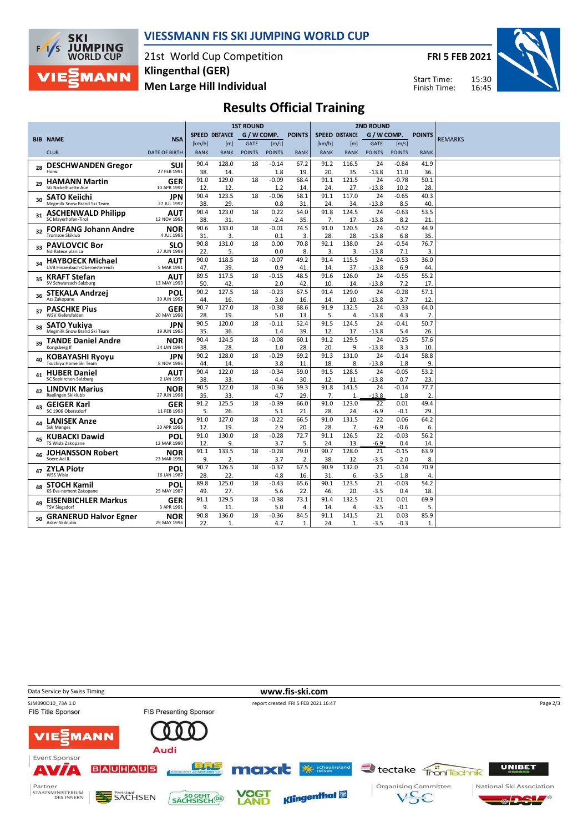

### **VIESSMANN FIS SKI JUMPING WORLD CUP**

21st World Cup Competition **Men Large Hill Individual Klingenthal (GER)**

**FRI 5 FEB 2021**

Start Time: Finish Time:



### **Results Official Training**

|    |                                                       |                           | <b>1ST ROUND</b> |                       |               |                   |               | <b>2ND ROUND</b>      |              |               |                |                |                |
|----|-------------------------------------------------------|---------------------------|------------------|-----------------------|---------------|-------------------|---------------|-----------------------|--------------|---------------|----------------|----------------|----------------|
|    |                                                       |                           |                  | <b>SPEED DISTANCE</b> | G / W COMP.   |                   | <b>POINTS</b> | <b>SPEED DISTANCE</b> |              | G / W COMP.   |                | <b>POINTS</b>  |                |
|    | <b>BIB NAME</b>                                       | <b>NSA</b>                | [km/h]           | [m]                   | <b>GATE</b>   | [m/s]             |               | [km/h]                | [m]          | <b>GATE</b>   | [m/s]          |                | <b>REMARKS</b> |
|    | <b>CLUB</b>                                           | <b>DATE OF BIRTH</b>      | <b>RANK</b>      | <b>RANK</b>           | <b>POINTS</b> | <b>POINTS</b>     | <b>RANK</b>   | <b>RANK</b>           | <b>RANK</b>  | <b>POINTS</b> | <b>POINTS</b>  | <b>RANK</b>    |                |
|    | <b>DESCHWANDEN Gregor</b>                             | SUI                       | 90.4             | 128.0                 | 18            | $-0.14$           | 67.2          | 91.2                  | 116.5        | 24            | $-0.84$        | 41.9           |                |
| 28 | Horw                                                  | 27 FEB 1991               | 38.              | 14                    |               | 1.8               | 19.           | 20                    | 35.          | $-13.8$       | 11.0           | 36.            |                |
| 29 | <b>HAMANN Martin</b>                                  | GER                       | 91.0             | 129.0                 | 18            | $-0.09$           | 68.4          | 91.1                  | 121.5        | 24            | $-0.78$        | 50.1           |                |
|    | <b>SG Nickelhuette Aue</b>                            | 10 APR 1997               | 12.              | 12                    |               | 1.2               | 14.           | 24.                   | 27.          | -13.8         | 10.2           | 28             |                |
| 30 | SATO Keiichi                                          | JPN                       | 90.4             | 123.5                 | 18            | $-0.06$           | 58.1          | 91.1                  | 117.0        | 24            | $-0.65$        | 40.3           |                |
|    | Megmilk Snow Brand Ski Team                           | 27 JUL 1997               | 38.              | 29.                   |               | 0.8               | 31            | 24.                   | 34.          | $-13.8$       | 8.5            | 40             |                |
| 31 | <b>ASCHENWALD Philipp</b><br>SC Mayerhofen-Tirol      | AUT<br>12 NOV 1995        | 90.4             | 123.0                 | 18            | 0.22              | 54.0          | 91.8<br>7.            | 124.5        | 24            | $-0.63$        | 53.5           |                |
|    |                                                       |                           | 38.<br>90.6      | 31<br>133.0           | 18            | $-2.4$<br>$-0.01$ | 35.<br>74.5   | 91.0                  | 17.<br>120.5 | -13.8<br>24   | 8.2<br>$-0.52$ | 21<br>44.9     |                |
| 32 | <b>FORFANG Johann Andre</b><br><b>Tromsoe Skiklub</b> | NOR<br>4 JUL 1995         | 31.              | 3.                    |               | 0.1               | 3.            | 28.                   | 28.          | $-13.8$       | 6.8            | 35             |                |
|    | <b>PAVLOVCIC Bor</b>                                  | SLO                       | 90.8             | 131.0                 | 18            | 0.00              | 70.8          | 92.1                  | 138.0        | 24            | $-0.54$        | 76.7           |                |
| 33 | Nd Ratece planica                                     | 27 JUN 1998               | 22.              | 5.                    |               | 0.0               | 8.            | 3.                    | 3.           | $-13.8$       | 7.1            | 3.             |                |
|    | <b>HAYBOECK Michael</b>                               | AUT                       | 90.0             | 118.5                 | 18            | $-0.07$           | 49.2          | 91.4                  | 115.5        | 24            | $-0.53$        | 36.0           |                |
| 34 | UVB Hinzenbach-Oberoesterreich                        | 5 MAR 1991                | 47.              | 39                    |               | 0.9               | 41            | 14                    | 37.          | $-13.8$       | 6.9            | 44             |                |
| 35 | <b>KRAFT Stefan</b>                                   | AUT                       | 89.5             | 117.5                 | 18            | $-0.15$           | 48.5          | 91.6                  | 126.0        | 24            | $-0.55$        | 55.2           |                |
|    | SV Schwarzach-Salzburg                                | 13 MAY 1993               | 50.              | 42                    |               | 2.0               | 42.           | 10                    | 14           | $-13.8$       | 7.2            | 17             |                |
| 36 | <b>STEKALA Andrzej</b>                                | POL                       | 90.2             | 127.5                 | 18            | $-0.23$           | 67.5          | 91.4                  | 129.0        | 24            | $-0.28$        | 57.1           |                |
|    | Azs Zakopane                                          | 30 JUN 1995               | 44.              | 16.                   |               | 3.0               | 16.           | 14                    | 10.          | $-13.8$       | 3.7            | 12             |                |
| 37 | <b>PASCHKE Pius</b>                                   | <b>GER</b>                | 90.7             | 127.0                 | 18            | $-0.38$           | 68.6          | 91.9                  | 132.5        | 24            | $-0.33$        | 64.0           |                |
|    | WSV Kiefersfelden                                     | 20 MAY 1990               | 28.              | 19.                   |               | 5.0               | 13.           | 5.                    | 4.           | -13.8         | 4.3            | 7.             |                |
| 38 | SATO Yukiya<br>Megmilk Snow Brand Ski Team            | JPN                       | 90.5             | 120.0                 | 18            | $-0.11$           | 52.4          | 91.5                  | 124.5        | 24            | $-0.41$        | 50.7           |                |
|    |                                                       | 19 JUN 1995               | 35.<br>90.4      | 36.<br>124.5          | 18            | 1.4<br>$-0.08$    | 39.<br>60.1   | 12.<br>91.2           | 17.<br>129.5 | $-13.8$<br>24 | 5.4<br>$-0.25$ | 26.<br>57.6    |                |
| 39 | <b>TANDE Daniel Andre</b><br>Kongsberg If             | NOR<br>24 JAN 1994        | 38.              | 28.                   |               | 1.0               | 28.           | 20.                   | 9.           | $-13.8$       | 3.3            | 10             |                |
|    |                                                       |                           | 90.2             | 128.0                 | 18            | $-0.29$           | 69.2          | 91.3                  | 131.0        | 24            | $-0.14$        | 58.8           |                |
| 40 | <b>KOBAYASHI Ryoyu</b><br>Tsuchiya Home Ski Team      | JPN<br>8 NOV 1996         | 44.              | 14                    |               | 3.8               | 11.           | 18.                   | 8.           | $-13.8$       | 1.8            | 9              |                |
|    | <b>HUBER Daniel</b>                                   | AUT                       | 90.4             | 122.0                 | 18            | $-0.34$           | 59.0          | 91.5                  | 128.5        | 24            | $-0.05$        | 53.2           |                |
| 41 | SC Seekirchen-Salzburg                                | 2 JAN 1993                | 38.              | 33.                   |               | 4.4               | 30.           | 12.                   | 11.          | $-13.8$       | 0.7            | 23             |                |
|    | <b>LINDVIK Marius</b>                                 | <b>NOR</b>                | 90.5             | 122.0                 | 18            | $-0.36$           | 59.3          | 91.8                  | 141.5        | 24            | $-0.14$        | 77.7           |                |
| 42 | Raelingen Skiklubb                                    | 27 JUN 1998               | 35.              | 33.                   |               | 4.7               | 29.           | 7.                    | $\mathbf{1}$ | $-13.8$       | 1.8            | $\overline{2}$ |                |
| 43 | <b>GEIGER Karl</b>                                    | <b>GER</b>                | 91.2             | 125.5                 | 18            | $-0.39$           | 66.0          | 91.0                  | 123.0        | 22            | 0.01           | 49.4           |                |
|    | SC 1906 Oberstdorf                                    | 11 FEB 1993               | 5.               | 26.                   |               | 5.1               | 21.           | 28.                   | 24.          | -6.9          | $-0.1$         | 29             |                |
| 44 | <b>LANISEK Anze</b>                                   | SLO                       | 91.0             | 127.0                 | 18            | $-0.22$           | 66.5          | 91.0                  | 131.5        | 22            | 0.06           | 64.2           |                |
|    | <b>Ssk Menges</b>                                     | 20 APR 1996               | 12.              | 19.                   |               | 2.9               | 20.           | 28.                   | 7.           | $-6.9$        | $-0.6$         | 6              |                |
| 45 | <b>KUBACKI Dawid</b>                                  | POL                       | 91.0             | 130.0                 | 18            | $-0.28$           | 72.7          | 91.1                  | 126.5        | 22            | $-0.03$        | 56.2           |                |
|    | TS Wisla Zakopane                                     | 12 MAR 1990               | 12.<br>91.1      | 9.<br>133.5           | 18            | 3.7<br>$-0.28$    | 5.<br>79.0    | 24.<br>90.7           | 13.<br>128.0 | -6.9<br>21    | 0.4<br>$-0.15$ | 14             |                |
| 46 | <b>JOHANSSON Robert</b><br>Soere Aal IL               | <b>NOR</b><br>23 MAR 1990 | 9.               | 2.                    |               | 3.7               | 2.            | 38.                   | 12.          | $-3.5$        | 2.0            | 63.9<br>8      |                |
|    |                                                       |                           | 90.7             | 126.5                 | 18            | $-0.37$           | 67.5          | 90.9                  | 132.0        | 21            | $-0.14$        | 70.9           |                |
| 47 | <b>ZYLA Piotr</b><br>WSS Wisla                        | POL<br>16 JAN 1987        | 28.              | 22.                   |               | 4.8               | 16.           | 31.                   | 6.           | -3.5          | 1.8            | $\overline{4}$ |                |
|    | <b>STOCH Kamil</b>                                    | POL                       | 89.8             | 125.0                 | 18            | $-0.43$           | 65.6          | 90.1                  | 123.5        | 21            | $-0.03$        | 54.2           |                |
| 48 | KS Eve-nement Zakopane                                | 25 MAY 1987               | 49.              | 27.                   |               | 5.6               | 22.           | 46.                   | 20.          | -3.5          | 0.4            | 18             |                |
| 49 | <b>EISENBICHLER Markus</b>                            | GER                       | 91.1             | 129.5                 | 18            | $-0.38$           | 73.1          | 91.4                  | 132.5        | 21            | 0.01           | 69.9           |                |
|    | <b>TSV Siegsdorf</b>                                  | 3 APR 1991                | 9.               | 11                    |               | 5.0               | 4.            | 14.                   | 4.           | -3.5          | $-0.1$         | 5.             |                |
| 50 | <b>GRANERUD Halvor Egner</b>                          | <b>NOR</b>                | 90.8             | 136.0                 | 18            | $-0.36$           | 84.5          | 91.1                  | 141.5        | 21            | 0.03           | 85.9           |                |
|    | Asker Skiklubb                                        | 29 MAY 1996               | 22.              | 1.                    |               | 4.7               | 1.            | 24.                   | 1.           | $-3.5$        | $-0.3$         | $\mathbf{1}$   |                |